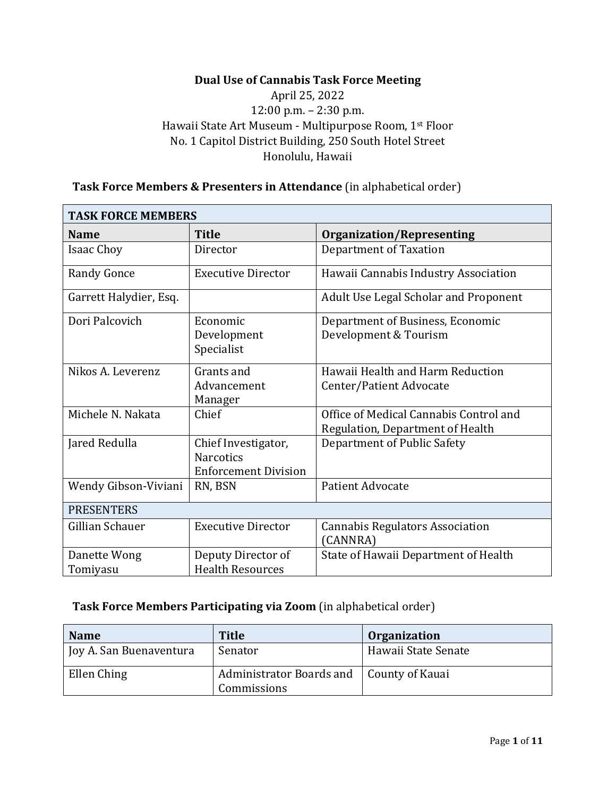## **Dual Use of Cannabis Task Force Meeting**

# April 25, 2022 12:00 p.m. – 2:30 p.m. Hawaii State Art Museum - Multipurpose Room, 1st Floor No. 1 Capitol District Building, 250 South Hotel Street Honolulu, Hawaii

| <b>TASK FORCE MEMBERS</b> |                                                                        |                                                                            |  |  |
|---------------------------|------------------------------------------------------------------------|----------------------------------------------------------------------------|--|--|
| <b>Name</b>               | <b>Title</b>                                                           | <b>Organization/Representing</b>                                           |  |  |
| <b>Isaac Choy</b>         | Director                                                               | Department of Taxation                                                     |  |  |
| <b>Randy Gonce</b>        | <b>Executive Director</b>                                              | Hawaii Cannabis Industry Association                                       |  |  |
| Garrett Halydier, Esq.    |                                                                        | <b>Adult Use Legal Scholar and Proponent</b>                               |  |  |
| Dori Palcovich            | Economic<br>Development<br>Specialist                                  | Department of Business, Economic<br>Development & Tourism                  |  |  |
| Nikos A. Leverenz         | Grants and<br>Advancement<br>Manager                                   | Hawaii Health and Harm Reduction<br>Center/Patient Advocate                |  |  |
| Michele N. Nakata         | Chief                                                                  | Office of Medical Cannabis Control and<br>Regulation, Department of Health |  |  |
| Jared Redulla             | Chief Investigator,<br><b>Narcotics</b><br><b>Enforcement Division</b> | Department of Public Safety                                                |  |  |
| Wendy Gibson-Viviani      | RN, BSN                                                                | <b>Patient Advocate</b>                                                    |  |  |
| <b>PRESENTERS</b>         |                                                                        |                                                                            |  |  |
| Gillian Schauer           | <b>Executive Director</b>                                              | <b>Cannabis Regulators Association</b><br>(CANNRA)                         |  |  |
| Danette Wong<br>Tomiyasu  | Deputy Director of<br><b>Health Resources</b>                          | State of Hawaii Department of Health                                       |  |  |

#### **Task Force Members & Presenters in Attendance** (in alphabetical order)

# **Task Force Members Participating via Zoom** (in alphabetical order)

| <b>Name</b>             | <b>Title</b>                                              | <b>Organization</b> |
|-------------------------|-----------------------------------------------------------|---------------------|
| Joy A. San Buenaventura | Senator                                                   | Hawaii State Senate |
| Ellen Ching             | Administrator Boards and   County of Kauai<br>Commissions |                     |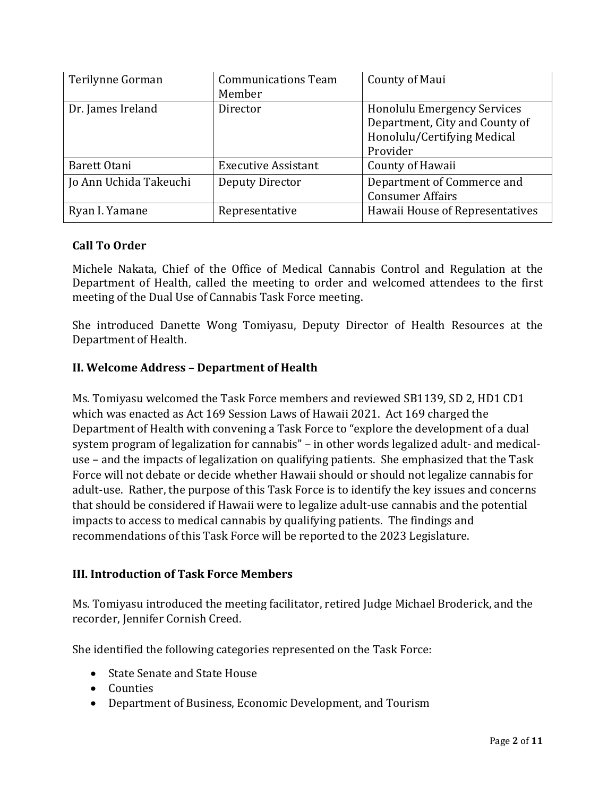| Terilynne Gorman       | <b>Communications Team</b><br>Member | County of Maui                                                                                                  |
|------------------------|--------------------------------------|-----------------------------------------------------------------------------------------------------------------|
| Dr. James Ireland      | Director                             | <b>Honolulu Emergency Services</b><br>Department, City and County of<br>Honolulu/Certifying Medical<br>Provider |
| Barett Otani           | <b>Executive Assistant</b>           | County of Hawaii                                                                                                |
| Jo Ann Uchida Takeuchi | Deputy Director                      | Department of Commerce and<br><b>Consumer Affairs</b>                                                           |
| Ryan I. Yamane         | Representative                       | Hawaii House of Representatives                                                                                 |

#### **Call To Order**

Michele Nakata, Chief of the Office of Medical Cannabis Control and Regulation at the Department of Health, called the meeting to order and welcomed attendees to the first meeting of the Dual Use of Cannabis Task Force meeting.

She introduced Danette Wong Tomiyasu, Deputy Director of Health Resources at the Department of Health.

#### **II. Welcome Address – Department of Health**

Ms. Tomiyasu welcomed the Task Force members and reviewed SB1139, SD 2, HD1 CD1 which was enacted as Act 169 Session Laws of Hawaii 2021. Act 169 charged the Department of Health with convening a Task Force to "explore the development of a dual system program of legalization for cannabis" – in other words legalized adult- and medicaluse – and the impacts of legalization on qualifying patients. She emphasized that the Task Force will not debate or decide whether Hawaii should or should not legalize cannabis for adult-use. Rather, the purpose of this Task Force is to identify the key issues and concerns that should be considered if Hawaii were to legalize adult-use cannabis and the potential impacts to access to medical cannabis by qualifying patients. The findings and recommendations of this Task Force will be reported to the 2023 Legislature.

#### **III. Introduction of Task Force Members**

Ms. Tomiyasu introduced the meeting facilitator, retired Judge Michael Broderick, and the recorder, Jennifer Cornish Creed.

She identified the following categories represented on the Task Force:

- State Senate and State House
- Counties
- Department of Business, Economic Development, and Tourism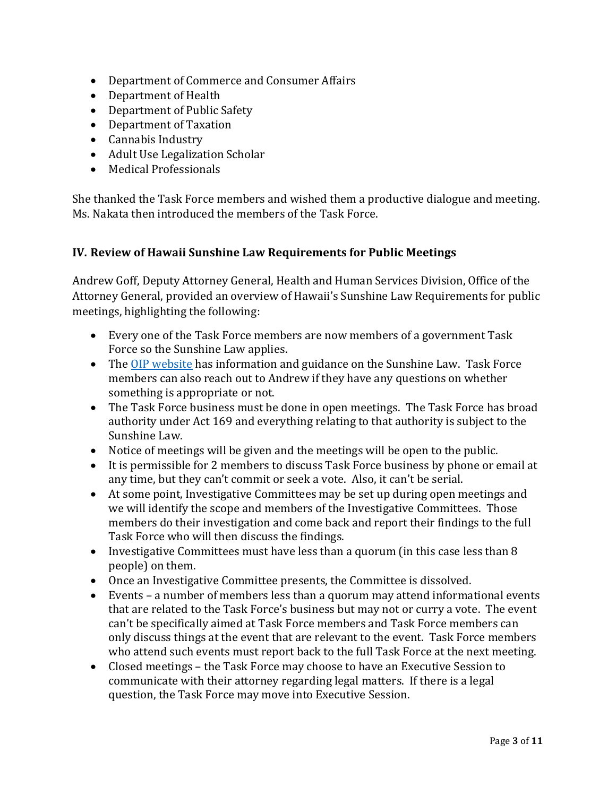- Department of Commerce and Consumer Affairs
- Department of Health
- Department of Public Safety
- Department of Taxation
- Cannabis Industry
- Adult Use Legalization Scholar
- Medical Professionals

She thanked the Task Force members and wished them a productive dialogue and meeting. Ms. Nakata then introduced the members of the Task Force.

#### **IV. Review of Hawaii Sunshine Law Requirements for Public Meetings**

Andrew Goff, Deputy Attorney General, Health and Human Services Division, Office of the Attorney General, provided an overview of Hawaii's Sunshine Law Requirements for public meetings, highlighting the following:

- Every one of the Task Force members are now members of a government Task Force so the Sunshine Law applies.
- The [OIP website](https://oip.hawaii.gov/laws-rules-opinions/sunshine-law/) has information and guidance on the Sunshine Law. Task Force members can also reach out to Andrew if they have any questions on whether something is appropriate or not.
- The Task Force business must be done in open meetings. The Task Force has broad authority under Act 169 and everything relating to that authority is subject to the Sunshine Law.
- Notice of meetings will be given and the meetings will be open to the public.
- It is permissible for 2 members to discuss Task Force business by phone or email at any time, but they can't commit or seek a vote. Also, it can't be serial.
- At some point, Investigative Committees may be set up during open meetings and we will identify the scope and members of the Investigative Committees. Those members do their investigation and come back and report their findings to the full Task Force who will then discuss the findings.
- Investigative Committees must have less than a quorum (in this case less than 8 people) on them.
- Once an Investigative Committee presents, the Committee is dissolved.
- Events a number of members less than a quorum may attend informational events that are related to the Task Force's business but may not or curry a vote. The event can't be specifically aimed at Task Force members and Task Force members can only discuss things at the event that are relevant to the event. Task Force members who attend such events must report back to the full Task Force at the next meeting.
- Closed meetings the Task Force may choose to have an Executive Session to communicate with their attorney regarding legal matters. If there is a legal question, the Task Force may move into Executive Session.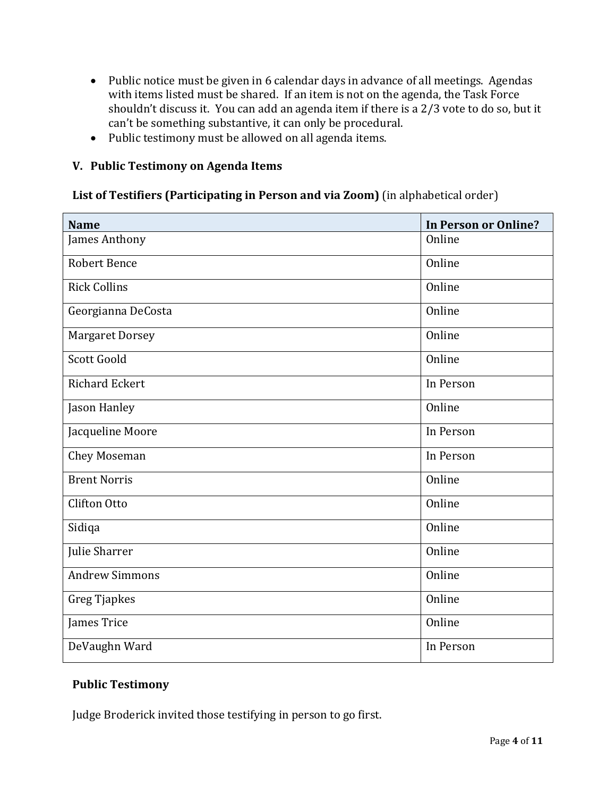- Public notice must be given in 6 calendar days in advance of all meetings. Agendas with items listed must be shared. If an item is not on the agenda, the Task Force shouldn't discuss it. You can add an agenda item if there is a 2/3 vote to do so, but it can't be something substantive, it can only be procedural.
- Public testimony must be allowed on all agenda items.

## **V. Public Testimony on Agenda Items**

### **List of Testifiers (Participating in Person and via Zoom)** (in alphabetical order)

| <b>Name</b>            | <b>In Person or Online?</b> |
|------------------------|-----------------------------|
| James Anthony          | Online                      |
| <b>Robert Bence</b>    | Online                      |
| <b>Rick Collins</b>    | Online                      |
| Georgianna DeCosta     | Online                      |
| <b>Margaret Dorsey</b> | Online                      |
| Scott Goold            | Online                      |
| <b>Richard Eckert</b>  | In Person                   |
| Jason Hanley           | Online                      |
| Jacqueline Moore       | In Person                   |
| Chey Moseman           | In Person                   |
| <b>Brent Norris</b>    | Online                      |
| <b>Clifton Otto</b>    | Online                      |
| Sidiqa                 | Online                      |
| Julie Sharrer          | Online                      |
| <b>Andrew Simmons</b>  | Online                      |
| Greg Tjapkes           | Online                      |
| James Trice            | Online                      |
| DeVaughn Ward          | In Person                   |

#### **Public Testimony**

Judge Broderick invited those testifying in person to go first.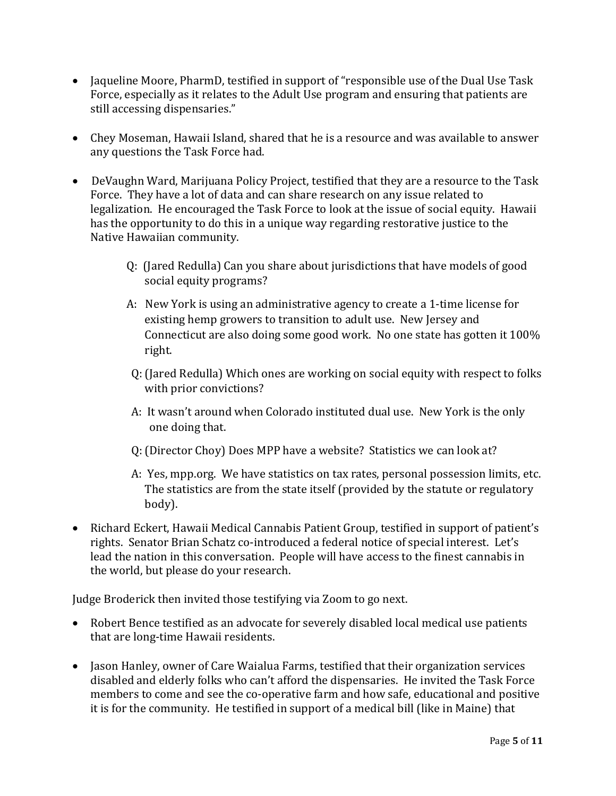- Jaqueline Moore, PharmD, testified in support of "responsible use of the Dual Use Task Force, especially as it relates to the Adult Use program and ensuring that patients are still accessing dispensaries."
- Chey Moseman, Hawaii Island, shared that he is a resource and was available to answer any questions the Task Force had.
- DeVaughn Ward, Marijuana Policy Project, testified that they are a resource to the Task Force. They have a lot of data and can share research on any issue related to legalization. He encouraged the Task Force to look at the issue of social equity. Hawaii has the opportunity to do this in a unique way regarding restorative justice to the Native Hawaiian community.
	- Q: (Jared Redulla) Can you share about jurisdictions that have models of good social equity programs?
	- A: New York is using an administrative agency to create a 1-time license for existing hemp growers to transition to adult use. New Jersey and Connecticut are also doing some good work. No one state has gotten it 100% right.
	- Q: (Jared Redulla) Which ones are working on social equity with respect to folks with prior convictions?
	- A: It wasn't around when Colorado instituted dual use. New York is the only one doing that.
	- Q: (Director Choy) Does MPP have a website? Statistics we can look at?
	- A: Yes, mpp.org. We have statistics on tax rates, personal possession limits, etc. The statistics are from the state itself (provided by the statute or regulatory body).
- Richard Eckert, Hawaii Medical Cannabis Patient Group, testified in support of patient's rights. Senator Brian Schatz co-introduced a federal notice of special interest. Let's lead the nation in this conversation. People will have access to the finest cannabis in the world, but please do your research.

Judge Broderick then invited those testifying via Zoom to go next.

- Robert Bence testified as an advocate for severely disabled local medical use patients that are long-time Hawaii residents.
- Jason Hanley, owner of Care Waialua Farms, testified that their organization services disabled and elderly folks who can't afford the dispensaries. He invited the Task Force members to come and see the co-operative farm and how safe, educational and positive it is for the community. He testified in support of a medical bill (like in Maine) that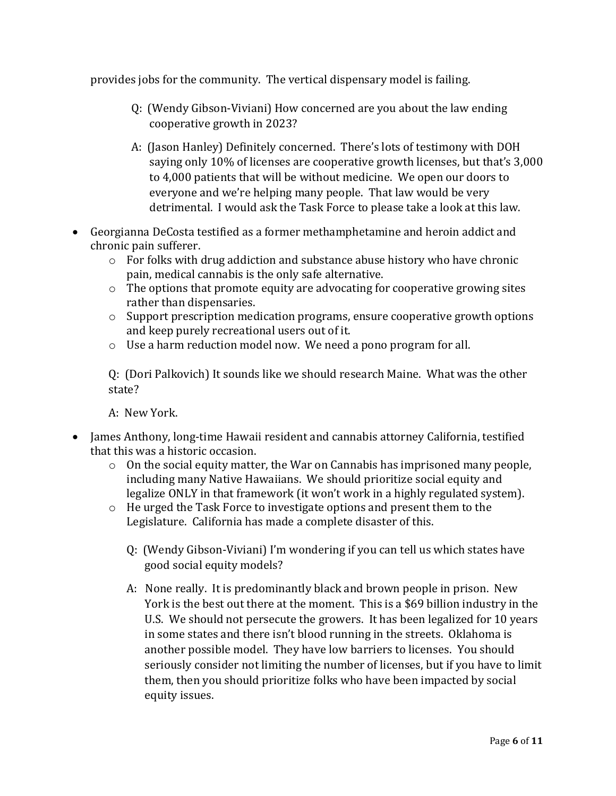provides jobs for the community. The vertical dispensary model is failing.

- Q: (Wendy Gibson-Viviani) How concerned are you about the law ending cooperative growth in 2023?
- A: (Jason Hanley) Definitely concerned. There's lots of testimony with DOH saying only 10% of licenses are cooperative growth licenses, but that's 3,000 to 4,000 patients that will be without medicine. We open our doors to everyone and we're helping many people. That law would be very detrimental. I would ask the Task Force to please take a look at this law.
- Georgianna DeCosta testified as a former methamphetamine and heroin addict and chronic pain sufferer.
	- o For folks with drug addiction and substance abuse history who have chronic pain, medical cannabis is the only safe alternative.
	- o The options that promote equity are advocating for cooperative growing sites rather than dispensaries.
	- o Support prescription medication programs, ensure cooperative growth options and keep purely recreational users out of it.
	- o Use a harm reduction model now. We need a pono program for all.

Q: (Dori Palkovich) It sounds like we should research Maine. What was the other state?

A: New York.

- James Anthony, long-time Hawaii resident and cannabis attorney California, testified that this was a historic occasion.
	- o On the social equity matter, the War on Cannabis has imprisoned many people, including many Native Hawaiians. We should prioritize social equity and legalize ONLY in that framework (it won't work in a highly regulated system).
	- o He urged the Task Force to investigate options and present them to the Legislature. California has made a complete disaster of this.
		- Q: (Wendy Gibson-Viviani) I'm wondering if you can tell us which states have good social equity models?
		- A: None really. It is predominantly black and brown people in prison. New York is the best out there at the moment. This is a \$69 billion industry in the U.S. We should not persecute the growers. It has been legalized for 10 years in some states and there isn't blood running in the streets. Oklahoma is another possible model. They have low barriers to licenses. You should seriously consider not limiting the number of licenses, but if you have to limit them, then you should prioritize folks who have been impacted by social equity issues.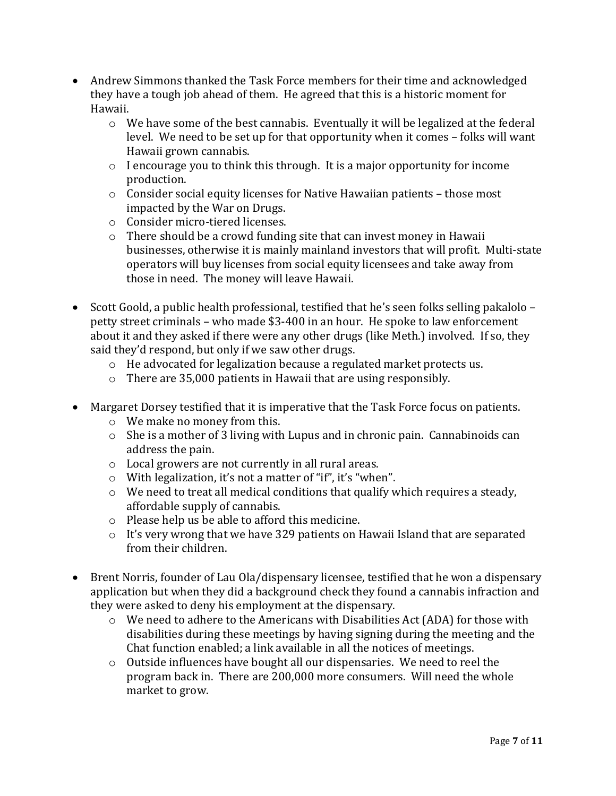- Andrew Simmons thanked the Task Force members for their time and acknowledged they have a tough job ahead of them. He agreed that this is a historic moment for Hawaii.
	- $\circ$  We have some of the best cannabis. Eventually it will be legalized at the federal level. We need to be set up for that opportunity when it comes – folks will want Hawaii grown cannabis.
	- o I encourage you to think this through. It is a major opportunity for income production.
	- o Consider social equity licenses for Native Hawaiian patients those most impacted by the War on Drugs.
	- o Consider micro-tiered licenses.
	- $\circ$  There should be a crowd funding site that can invest money in Hawaii businesses, otherwise it is mainly mainland investors that will profit. Multi-state operators will buy licenses from social equity licensees and take away from those in need. The money will leave Hawaii.
- Scott Goold, a public health professional, testified that he's seen folks selling pakalolo petty street criminals – who made \$3-400 in an hour. He spoke to law enforcement about it and they asked if there were any other drugs (like Meth.) involved. If so, they said they'd respond, but only if we saw other drugs.
	- o He advocated for legalization because a regulated market protects us.
	- o There are 35,000 patients in Hawaii that are using responsibly.
- Margaret Dorsey testified that it is imperative that the Task Force focus on patients.
	- o We make no money from this.
	- o She is a mother of 3 living with Lupus and in chronic pain. Cannabinoids can address the pain.
	- o Local growers are not currently in all rural areas.
	- o With legalization, it's not a matter of "if", it's "when".
	- o We need to treat all medical conditions that qualify which requires a steady, affordable supply of cannabis.
	- o Please help us be able to afford this medicine.
	- o It's very wrong that we have 329 patients on Hawaii Island that are separated from their children.
- Brent Norris, founder of Lau Ola/dispensary licensee, testified that he won a dispensary application but when they did a background check they found a cannabis infraction and they were asked to deny his employment at the dispensary.
	- o We need to adhere to the Americans with Disabilities Act (ADA) for those with disabilities during these meetings by having signing during the meeting and the Chat function enabled; a link available in all the notices of meetings.
	- $\circ$  Outside influences have bought all our dispensaries. We need to reel the program back in. There are 200,000 more consumers. Will need the whole market to grow.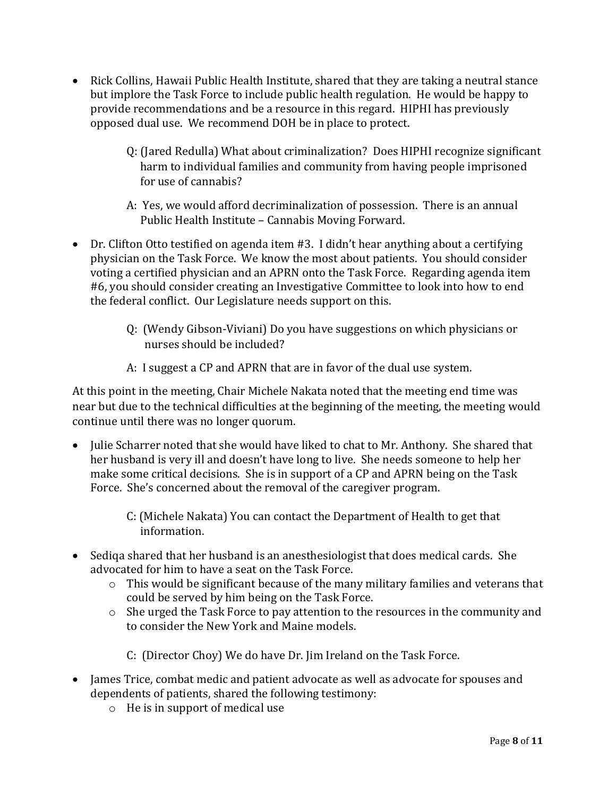- Rick Collins, Hawaii Public Health Institute, shared that they are taking a neutral stance but implore the Task Force to include public health regulation. He would be happy to provide recommendations and be a resource in this regard. HIPHI has previously opposed dual use. We recommend DOH be in place to protect.
	- Q: (Jared Redulla) What about criminalization? Does HIPHI recognize significant harm to individual families and community from having people imprisoned for use of cannabis?
	- A: Yes, we would afford decriminalization of possession. There is an annual Public Health Institute – Cannabis Moving Forward.
- Dr. Clifton Otto testified on agenda item #3. I didn't hear anything about a certifying physician on the Task Force. We know the most about patients. You should consider voting a certified physician and an APRN onto the Task Force. Regarding agenda item #6, you should consider creating an Investigative Committee to look into how to end the federal conflict. Our Legislature needs support on this.
	- Q: (Wendy Gibson-Viviani) Do you have suggestions on which physicians or nurses should be included?
	- A: I suggest a CP and APRN that are in favor of the dual use system.

At this point in the meeting, Chair Michele Nakata noted that the meeting end time was near but due to the technical difficulties at the beginning of the meeting, the meeting would continue until there was no longer quorum.

- Julie Scharrer noted that she would have liked to chat to Mr. Anthony. She shared that her husband is very ill and doesn't have long to live. She needs someone to help her make some critical decisions. She is in support of a CP and APRN being on the Task Force. She's concerned about the removal of the caregiver program.
	- C: (Michele Nakata) You can contact the Department of Health to get that information.
- Sediqa shared that her husband is an anesthesiologist that does medical cards. She advocated for him to have a seat on the Task Force.
	- $\circ$  This would be significant because of the many military families and veterans that could be served by him being on the Task Force.
	- o She urged the Task Force to pay attention to the resources in the community and to consider the New York and Maine models.
		- C: (Director Choy) We do have Dr. Jim Ireland on the Task Force.
- James Trice, combat medic and patient advocate as well as advocate for spouses and dependents of patients, shared the following testimony:
	- o He is in support of medical use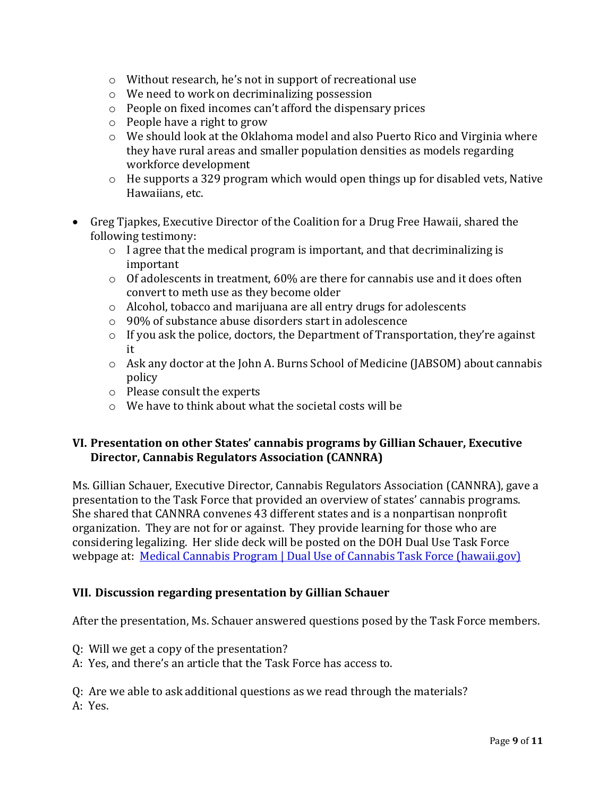- o Without research, he's not in support of recreational use
- o We need to work on decriminalizing possession
- o People on fixed incomes can't afford the dispensary prices
- o People have a right to grow
- $\circ$  We should look at the Oklahoma model and also Puerto Rico and Virginia where they have rural areas and smaller population densities as models regarding workforce development
- o He supports a 329 program which would open things up for disabled vets, Native Hawaiians, etc.
- Greg Tjapkes, Executive Director of the Coalition for a Drug Free Hawaii, shared the following testimony:
	- $\circ$  I agree that the medical program is important, and that decriminalizing is important
	- $\circ$  Of adolescents in treatment, 60% are there for cannabis use and it does often convert to meth use as they become older
	- o Alcohol, tobacco and marijuana are all entry drugs for adolescents
	- o 90% of substance abuse disorders start in adolescence
	- $\circ$  If you ask the police, doctors, the Department of Transportation, they're against it
	- o Ask any doctor at the John A. Burns School of Medicine (JABSOM) about cannabis policy
	- o Please consult the experts
	- o We have to think about what the societal costs will be

#### **VI. Presentation on other States' cannabis programs by Gillian Schauer, Executive Director, Cannabis Regulators Association (CANNRA)**

Ms. Gillian Schauer, Executive Director, Cannabis Regulators Association (CANNRA), gave a presentation to the Task Force that provided an overview of states' cannabis programs. She shared that CANNRA convenes 43 different states and is a nonpartisan nonprofit organization. They are not for or against. They provide learning for those who are considering legalizing. Her slide deck will be posted on the DOH Dual Use Task Force webpage at: [Medical Cannabis Program | Dual Use of Cannabis Task Force \(hawaii.gov\)](https://health.hawaii.gov/medicalcannabis/dual-use/)

#### **VII. Discussion regarding presentation by Gillian Schauer**

After the presentation, Ms. Schauer answered questions posed by the Task Force members.

- Q: Will we get a copy of the presentation?
- A: Yes, and there's an article that the Task Force has access to.

Q: Are we able to ask additional questions as we read through the materials? A: Yes.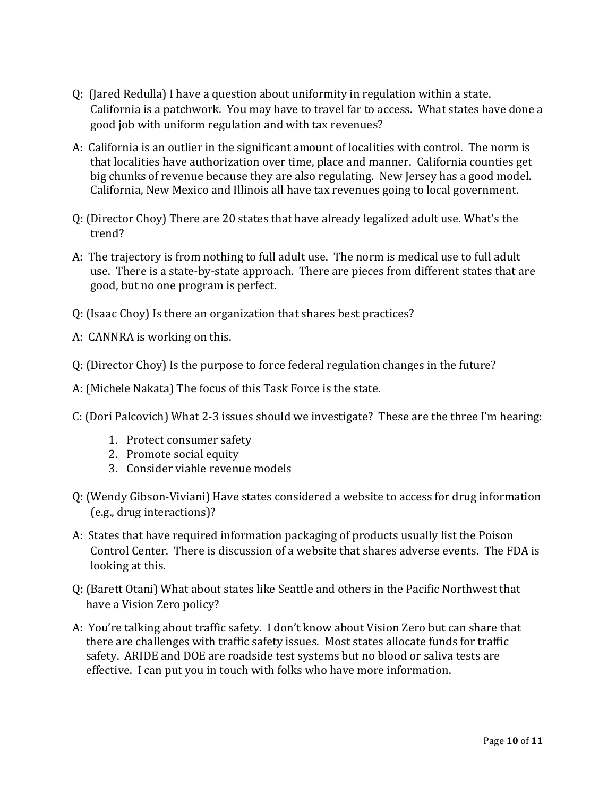- Q: (Jared Redulla) I have a question about uniformity in regulation within a state. California is a patchwork. You may have to travel far to access. What states have done a good job with uniform regulation and with tax revenues?
- A: California is an outlier in the significant amount of localities with control. The norm is that localities have authorization over time, place and manner. California counties get big chunks of revenue because they are also regulating. New Jersey has a good model. California, New Mexico and Illinois all have tax revenues going to local government.
- Q: (Director Choy) There are 20 states that have already legalized adult use. What's the trend?
- A: The trajectory is from nothing to full adult use. The norm is medical use to full adult use. There is a state-by-state approach. There are pieces from different states that are good, but no one program is perfect.
- Q: (Isaac Choy) Is there an organization that shares best practices?
- A: CANNRA is working on this.
- Q: (Director Choy) Is the purpose to force federal regulation changes in the future?
- A: (Michele Nakata) The focus of this Task Force is the state.
- C: (Dori Palcovich) What 2-3 issues should we investigate? These are the three I'm hearing:
	- 1. Protect consumer safety
	- 2. Promote social equity
	- 3. Consider viable revenue models
- Q: (Wendy Gibson-Viviani) Have states considered a website to access for drug information (e.g., drug interactions)?
- A: States that have required information packaging of products usually list the Poison Control Center. There is discussion of a website that shares adverse events. The FDA is looking at this.
- Q: (Barett Otani) What about states like Seattle and others in the Pacific Northwest that have a Vision Zero policy?
- A: You're talking about traffic safety. I don't know about Vision Zero but can share that there are challenges with traffic safety issues. Most states allocate funds for traffic safety. ARIDE and DOE are roadside test systems but no blood or saliva tests are effective. I can put you in touch with folks who have more information.